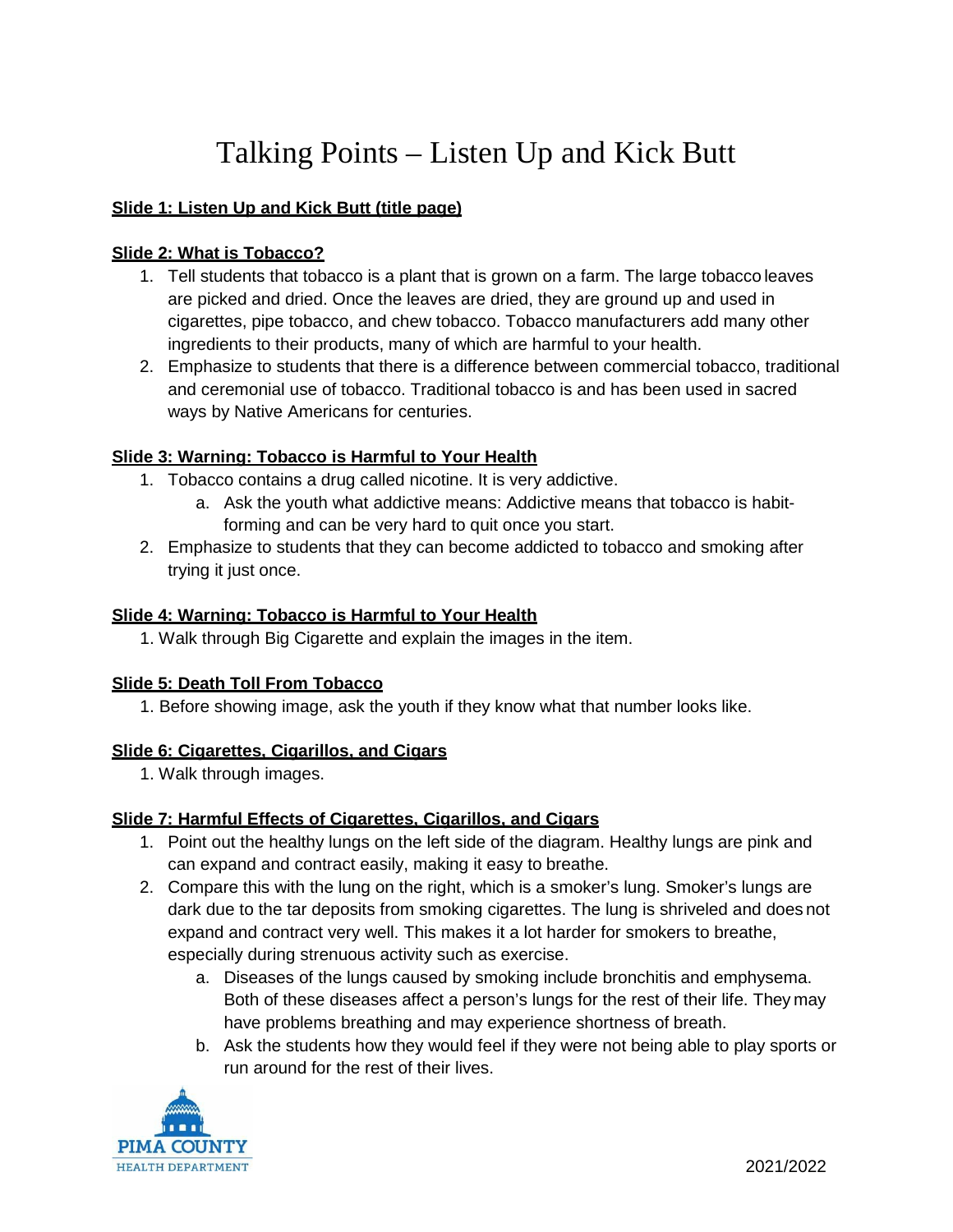# Talking Points – Listen Up and Kick Butt

## **Slide 1: Listen Up and Kick Butt (title page)**

## **Slide 2: What is Tobacco?**

- 1. Tell students that tobacco is a plant that is grown on a farm. The large tobacco leaves are picked and dried. Once the leaves are dried, they are ground up and used in cigarettes, pipe tobacco, and chew tobacco. Tobacco manufacturers add many other ingredients to their products, many of which are harmful to your health.
- 2. Emphasize to students that there is a difference between commercial tobacco, traditional and ceremonial use of tobacco. Traditional tobacco is and has been used in sacred ways by Native Americans for centuries.

## **Slide 3: Warning: Tobacco is Harmful to Your Health**

- 1. Tobacco contains a drug called nicotine. It is very addictive.
	- a. Ask the youth what addictive means: Addictive means that tobacco is habitforming and can be very hard to quit once you start.
- 2. Emphasize to students that they can become addicted to tobacco and smoking after trying it just once.

## **Slide 4: Warning: Tobacco is Harmful to Your Health**

1. Walk through Big Cigarette and explain the images in the item.

### **Slide 5: Death Toll From Tobacco**

1. Before showing image, ask the youth if they know what that number looks like.

### **Slide 6: Cigarettes, Cigarillos, and Cigars**

1. Walk through images.

# **Slide 7: Harmful Effects of Cigarettes, Cigarillos, and Cigars**

- 1. Point out the healthy lungs on the left side of the diagram. Healthy lungs are pink and can expand and contract easily, making it easy to breathe.
- 2. Compare this with the lung on the right, which is a smoker's lung. Smoker's lungs are dark due to the tar deposits from smoking cigarettes. The lung is shriveled and does not expand and contract very well. This makes it a lot harder for smokers to breathe, especially during strenuous activity such as exercise.
	- a. Diseases of the lungs caused by smoking include bronchitis and emphysema. Both of these diseases affect a person's lungs for the rest of their life. They may have problems breathing and may experience shortness of breath.
	- b. Ask the students how they would feel if they were not being able to play sports or run around for the rest of their lives.

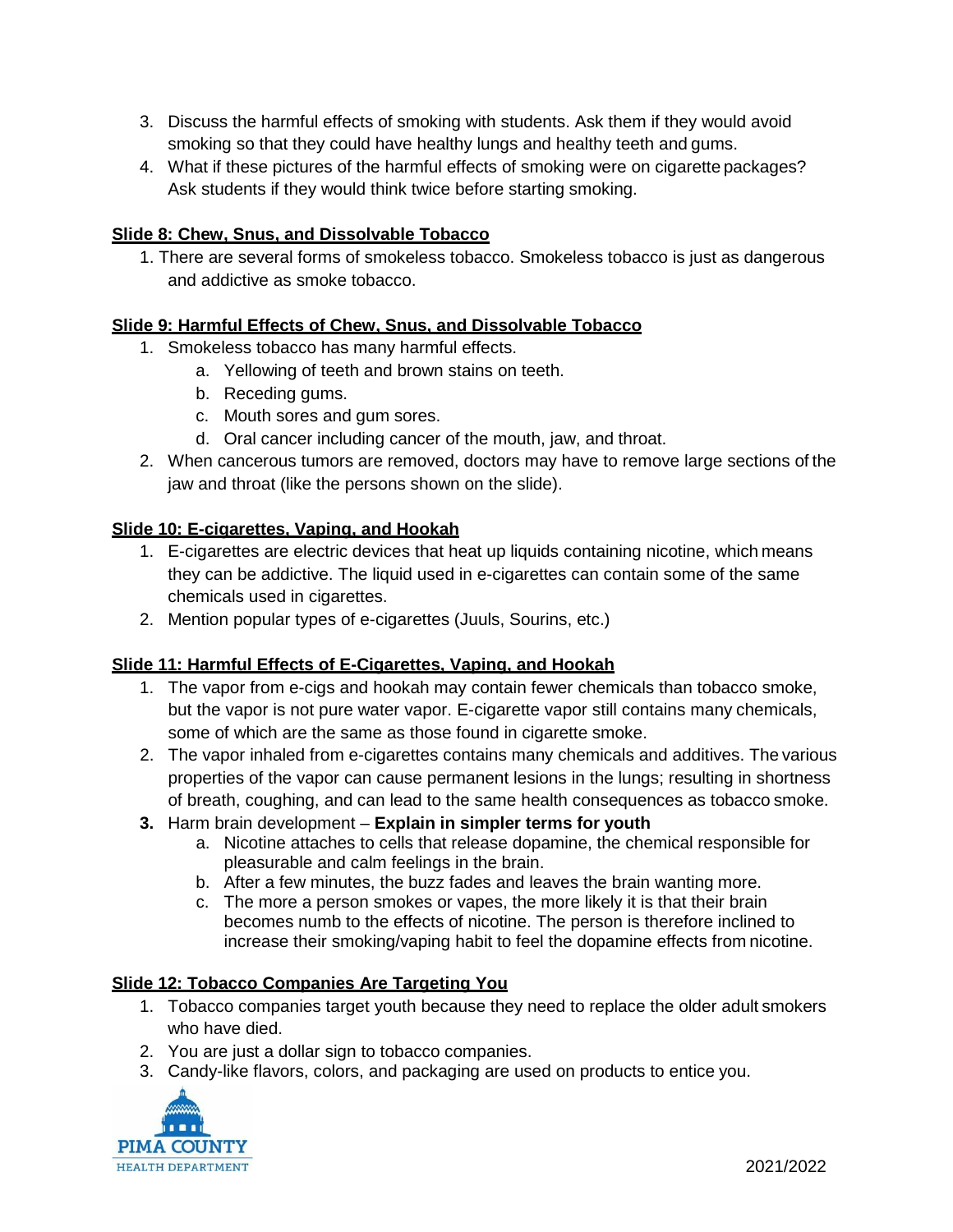- 3. Discuss the harmful effects of smoking with students. Ask them if they would avoid smoking so that they could have healthy lungs and healthy teeth and gums.
- 4. What if these pictures of the harmful effects of smoking were on cigarette packages? Ask students if they would think twice before starting smoking.

# **Slide 8: Chew, Snus, and Dissolvable Tobacco**

1. There are several forms of smokeless tobacco. Smokeless tobacco is just as dangerous and addictive as smoke tobacco.

# **Slide 9: Harmful Effects of Chew, Snus, and Dissolvable Tobacco**

- 1. Smokeless tobacco has many harmful effects.
	- a. Yellowing of teeth and brown stains on teeth.
	- b. Receding gums.
	- c. Mouth sores and gum sores.
	- d. Oral cancer including cancer of the mouth, jaw, and throat.
- 2. When cancerous tumors are removed, doctors may have to remove large sections of the jaw and throat (like the persons shown on the slide).

# **Slide 10: E-cigarettes, Vaping, and Hookah**

- 1. E-cigarettes are electric devices that heat up liquids containing nicotine, which means they can be addictive. The liquid used in e-cigarettes can contain some of the same chemicals used in cigarettes.
- 2. Mention popular types of e-cigarettes (Juuls, Sourins, etc.)

# **Slide 11: Harmful Effects of E-Cigarettes, Vaping, and Hookah**

- 1. The vapor from e-cigs and hookah may contain fewer chemicals than tobacco smoke, but the vapor is not pure water vapor. E-cigarette vapor still contains many chemicals, some of which are the same as those found in cigarette smoke.
- 2. The vapor inhaled from e-cigarettes contains many chemicals and additives. The various properties of the vapor can cause permanent lesions in the lungs; resulting in shortness of breath, coughing, and can lead to the same health consequences as tobacco smoke.
- **3.** Harm brain development **Explain in simpler terms for youth**
	- a. Nicotine attaches to cells that release dopamine, the chemical responsible for pleasurable and calm feelings in the brain.
	- b. After a few minutes, the buzz fades and leaves the brain wanting more.
	- c. The more a person smokes or vapes, the more likely it is that their brain becomes numb to the effects of nicotine. The person is therefore inclined to increase their smoking/vaping habit to feel the dopamine effects from nicotine.

# **Slide 12: Tobacco Companies Are Targeting You**

- 1. Tobacco companies target youth because they need to replace the older adult smokers who have died.
- 2. You are just a dollar sign to tobacco companies.
- 3. Candy-like flavors, colors, and packaging are used on products to entice you.